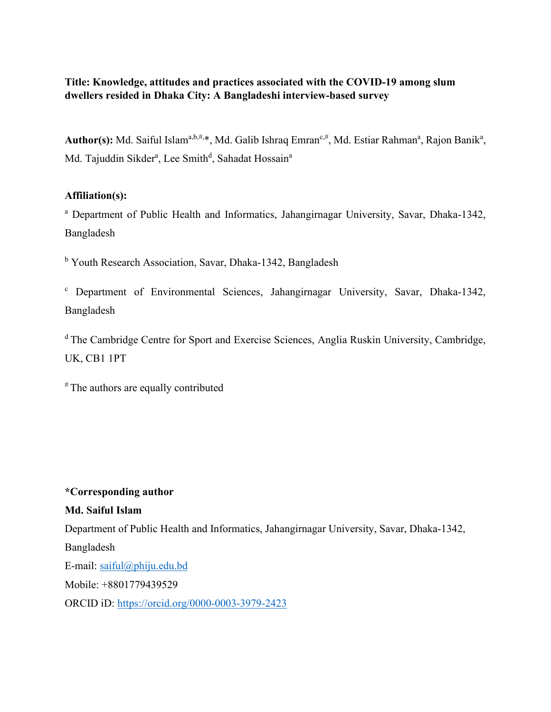**Title: Knowledge, attitudes and practices associated with the COVID-19 among slum dwellers resided in Dhaka City: A Bangladeshi interview-based survey** 

Author(s): Md. Saiful Islam<sup>a,b,#,</sup>\*, Md. Galib Ishraq Emran<sup>c,#</sup>, Md. Estiar Rahman<sup>a</sup>, Rajon Banik<sup>a</sup>, Md. Tajuddin Sikder<sup>a</sup>, Lee Smith<sup>d</sup>, Sahadat Hossain<sup>a</sup>

# **Affiliation(s):**

<sup>a</sup> Department of Public Health and Informatics, Jahangirnagar University, Savar, Dhaka-1342, Bangladesh

<sup>b</sup> Youth Research Association, Savar, Dhaka-1342, Bangladesh

<sup>c</sup> Department of Environmental Sciences, Jahangirnagar University, Savar, Dhaka-1342, Bangladesh

<sup>d</sup> The Cambridge Centre for Sport and Exercise Sciences, Anglia Ruskin University, Cambridge, UK, CB1 1PT

# The authors are equally contributed

# **\*Corresponding author**

# **Md. Saiful Islam**

Department of Public Health and Informatics, Jahangirnagar University, Savar, Dhaka-1342, Bangladesh E-mail: [saiful@phiju.edu.bd](mailto:saiful@phiju.edu.bd) Mobile: +8801779439529

ORCID iD:<https://orcid.org/0000-0003-3979-2423>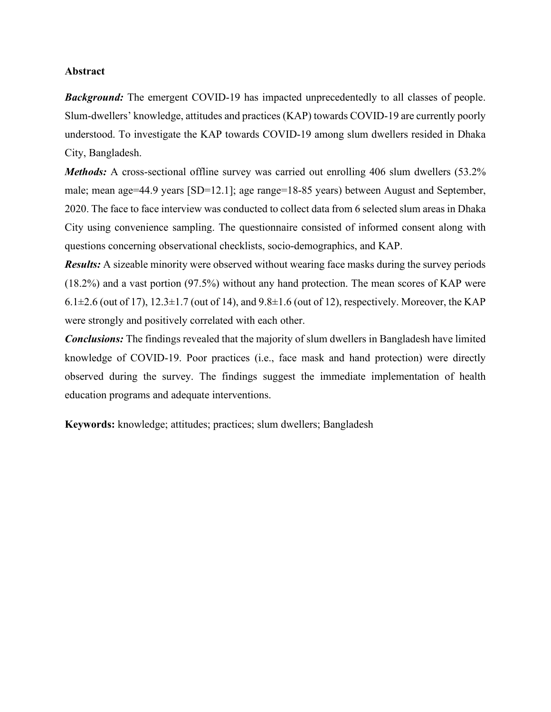# **Abstract**

*Background:* The emergent COVID-19 has impacted unprecedentedly to all classes of people. Slum-dwellers' knowledge, attitudes and practices (KAP) towards COVID-19 are currently poorly understood. To investigate the KAP towards COVID-19 among slum dwellers resided in Dhaka City, Bangladesh.

*Methods:* A cross-sectional offline survey was carried out enrolling 406 slum dwellers (53.2%) male; mean age=44.9 years [SD=12.1]; age range=18-85 years) between August and September, 2020. The face to face interview was conducted to collect data from 6 selected slum areas in Dhaka City using convenience sampling. The questionnaire consisted of informed consent along with questions concerning observational checklists, socio-demographics, and KAP.

*Results:* A sizeable minority were observed without wearing face masks during the survey periods (18.2%) and a vast portion (97.5%) without any hand protection. The mean scores of KAP were 6.1 $\pm$ 2.6 (out of 17), 12.3 $\pm$ 1.7 (out of 14), and 9.8 $\pm$ 1.6 (out of 12), respectively. Moreover, the KAP were strongly and positively correlated with each other.

*Conclusions:* The findings revealed that the majority of slum dwellers in Bangladesh have limited knowledge of COVID-19. Poor practices (i.e., face mask and hand protection) were directly observed during the survey. The findings suggest the immediate implementation of health education programs and adequate interventions.

**Keywords:** knowledge; attitudes; practices; slum dwellers; Bangladesh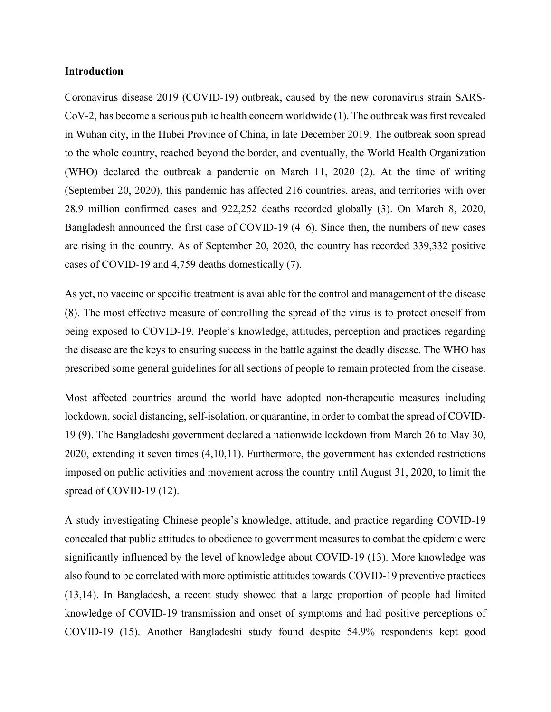# **Introduction**

Coronavirus disease 2019 (COVID-19) outbreak, caused by the new coronavirus strain SARS-CoV-2, has become a serious public health concern worldwide (1). The outbreak was first revealed in Wuhan city, in the Hubei Province of China, in late December 2019. The outbreak soon spread to the whole country, reached beyond the border, and eventually, the World Health Organization (WHO) declared the outbreak a pandemic on March 11, 2020 (2). At the time of writing (September 20, 2020), this pandemic has affected 216 countries, areas, and territories with over 28.9 million confirmed cases and 922,252 deaths recorded globally (3). On March 8, 2020, Bangladesh announced the first case of COVID-19 (4–6). Since then, the numbers of new cases are rising in the country. As of September 20, 2020, the country has recorded 339,332 positive cases of COVID-19 and 4,759 deaths domestically (7).

As yet, no vaccine or specific treatment is available for the control and management of the disease (8). The most effective measure of controlling the spread of the virus is to protect oneself from being exposed to COVID-19. People's knowledge, attitudes, perception and practices regarding the disease are the keys to ensuring success in the battle against the deadly disease. The WHO has prescribed some general guidelines for all sections of people to remain protected from the disease.

Most affected countries around the world have adopted non-therapeutic measures including lockdown, social distancing, self-isolation, or quarantine, in order to combat the spread of COVID-19 (9). The Bangladeshi government declared a nationwide lockdown from March 26 to May 30, 2020, extending it seven times (4,10,11). Furthermore, the government has extended restrictions imposed on public activities and movement across the country until August 31, 2020, to limit the spread of COVID-19 (12).

A study investigating Chinese people's knowledge, attitude, and practice regarding COVID-19 concealed that public attitudes to obedience to government measures to combat the epidemic were significantly influenced by the level of knowledge about COVID-19 (13). More knowledge was also found to be correlated with more optimistic attitudes towards COVID-19 preventive practices (13,14). In Bangladesh, a recent study showed that a large proportion of people had limited knowledge of COVID-19 transmission and onset of symptoms and had positive perceptions of COVID-19 (15). Another Bangladeshi study found despite 54.9% respondents kept good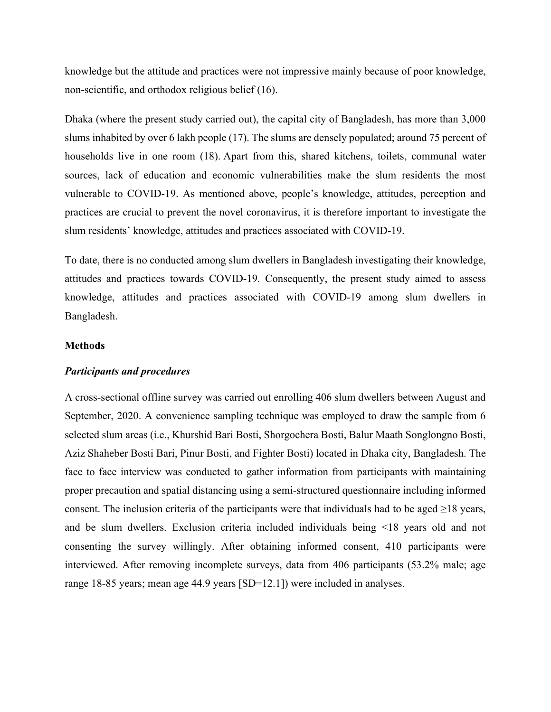knowledge but the attitude and practices were not impressive mainly because of poor knowledge, non-scientific, and orthodox religious belief (16).

Dhaka (where the present study carried out), the capital city of Bangladesh, has more than 3,000 slums inhabited by over 6 lakh people (17). The slums are densely populated; around 75 percent of households live in one room (18). Apart from this, shared kitchens, toilets, communal water sources, lack of education and economic vulnerabilities make the slum residents the most vulnerable to COVID-19. As mentioned above, people's knowledge, attitudes, perception and practices are crucial to prevent the novel coronavirus, it is therefore important to investigate the slum residents' knowledge, attitudes and practices associated with COVID-19.

To date, there is no conducted among slum dwellers in Bangladesh investigating their knowledge, attitudes and practices towards COVID-19. Consequently, the present study aimed to assess knowledge, attitudes and practices associated with COVID-19 among slum dwellers in Bangladesh.

# **Methods**

# *Participants and procedures*

A cross-sectional offline survey was carried out enrolling 406 slum dwellers between August and September, 2020. A convenience sampling technique was employed to draw the sample from 6 selected slum areas (i.e., Khurshid Bari Bosti, Shorgochera Bosti, Balur Maath Songlongno Bosti, Aziz Shaheber Bosti Bari, Pinur Bosti, and Fighter Bosti) located in Dhaka city, Bangladesh. The face to face interview was conducted to gather information from participants with maintaining proper precaution and spatial distancing using a semi-structured questionnaire including informed consent. The inclusion criteria of the participants were that individuals had to be aged  $\geq$ 18 years, and be slum dwellers. Exclusion criteria included individuals being <18 years old and not consenting the survey willingly. After obtaining informed consent, 410 participants were interviewed. After removing incomplete surveys, data from 406 participants (53.2% male; age range 18-85 years; mean age 44.9 years [SD=12.1]) were included in analyses.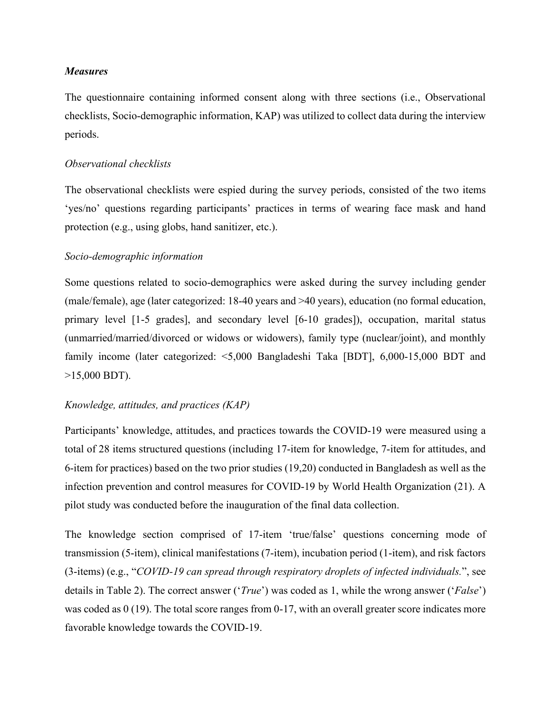# *Measures*

The questionnaire containing informed consent along with three sections (i.e., Observational checklists, Socio-demographic information, KAP) was utilized to collect data during the interview periods.

#### *Observational checklists*

The observational checklists were espied during the survey periods, consisted of the two items 'yes/no' questions regarding participants' practices in terms of wearing face mask and hand protection (e.g., using globs, hand sanitizer, etc.).

# *Socio-demographic information*

Some questions related to socio-demographics were asked during the survey including gender (male/female), age (later categorized: 18-40 years and >40 years), education (no formal education, primary level [1-5 grades], and secondary level [6-10 grades]), occupation, marital status (unmarried/married/divorced or widows or widowers), family type (nuclear/joint), and monthly family income (later categorized: <5,000 Bangladeshi Taka [BDT], 6,000-15,000 BDT and >15,000 BDT).

# *Knowledge, attitudes, and practices (KAP)*

Participants' knowledge, attitudes, and practices towards the COVID-19 were measured using a total of 28 items structured questions (including 17-item for knowledge, 7-item for attitudes, and 6-item for practices) based on the two prior studies (19,20) conducted in Bangladesh as well as the infection prevention and control measures for COVID-19 by World Health Organization (21). A pilot study was conducted before the inauguration of the final data collection.

The knowledge section comprised of 17-item 'true/false' questions concerning mode of transmission (5-item), clinical manifestations (7-item), incubation period (1-item), and risk factors (3-items) (e.g., "*COVID-19 can spread through respiratory droplets of infected individuals.*", see details in Table 2). The correct answer ('*True*') was coded as 1, while the wrong answer ('*False*') was coded as 0 (19). The total score ranges from 0-17, with an overall greater score indicates more favorable knowledge towards the COVID-19.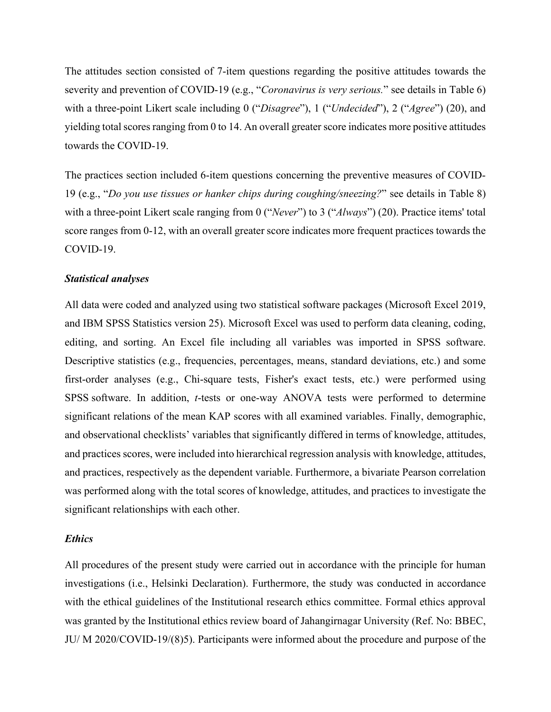The attitudes section consisted of 7-item questions regarding the positive attitudes towards the severity and prevention of COVID-19 (e.g., "*Coronavirus is very serious.*" see details in Table 6) with a three-point Likert scale including 0 ("*Disagree*"), 1 ("*Undecided*"), 2 ("*Agree*") (20), and yielding total scores ranging from 0 to 14. An overall greater score indicates more positive attitudes towards the COVID-19.

The practices section included 6-item questions concerning the preventive measures of COVID-19 (e.g., "*Do you use tissues or hanker chips during coughing/sneezing?*" see details in Table 8) with a three-point Likert scale ranging from 0 ("*Never*") to 3 ("*Always*") (20). Practice items' total score ranges from 0-12, with an overall greater score indicates more frequent practices towards the COVID-19.

## *Statistical analyses*

All data were coded and analyzed using two statistical software packages (Microsoft Excel 2019, and IBM SPSS Statistics version 25). Microsoft Excel was used to perform data cleaning, coding, editing, and sorting. An Excel file including all variables was imported in SPSS software. Descriptive statistics (e.g., frequencies, percentages, means, standard deviations, etc.) and some first-order analyses (e.g., Chi-square tests, Fisher's exact tests, etc.) were performed using SPSS software. In addition, *t*-tests or one-way ANOVA tests were performed to determine significant relations of the mean KAP scores with all examined variables. Finally, demographic, and observational checklists' variables that significantly differed in terms of knowledge, attitudes, and practices scores, were included into hierarchical regression analysis with knowledge, attitudes, and practices, respectively as the dependent variable. Furthermore, a bivariate Pearson correlation was performed along with the total scores of knowledge, attitudes, and practices to investigate the significant relationships with each other.

## *Ethics*

All procedures of the present study were carried out in accordance with the principle for human investigations (i.e., Helsinki Declaration). Furthermore, the study was conducted in accordance with the ethical guidelines of the Institutional research ethics committee. Formal ethics approval was granted by the Institutional ethics review board of Jahangirnagar University (Ref. No: BBEC, JU/ M 2020/COVID-19/(8)5). Participants were informed about the procedure and purpose of the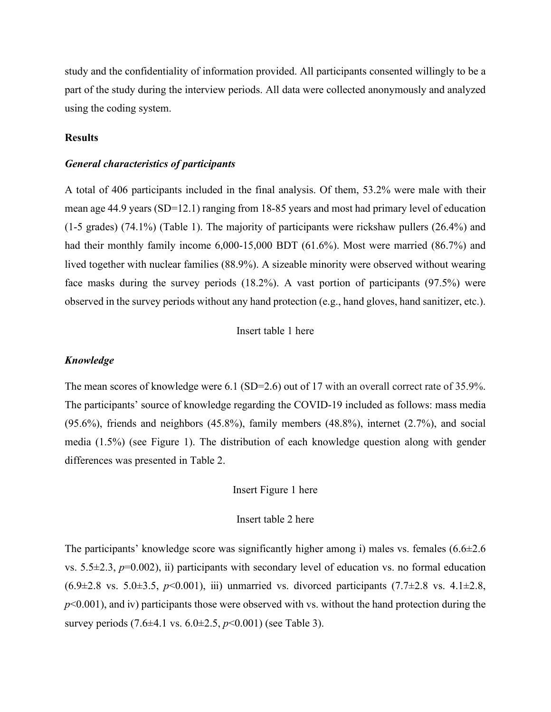study and the confidentiality of information provided. All participants consented willingly to be a part of the study during the interview periods. All data were collected anonymously and analyzed using the coding system.

# **Results**

#### *General characteristics of participants*

A total of 406 participants included in the final analysis. Of them, 53.2% were male with their mean age 44.9 years (SD=12.1) ranging from 18-85 years and most had primary level of education (1-5 grades) (74.1%) (Table 1). The majority of participants were rickshaw pullers (26.4%) and had their monthly family income 6,000-15,000 BDT (61.6%). Most were married (86.7%) and lived together with nuclear families (88.9%). A sizeable minority were observed without wearing face masks during the survey periods (18.2%). A vast portion of participants (97.5%) were observed in the survey periods without any hand protection (e.g., hand gloves, hand sanitizer, etc.).

## Insert table 1 here

# *Knowledge*

The mean scores of knowledge were 6.1 (SD=2.6) out of 17 with an overall correct rate of 35.9%. The participants' source of knowledge regarding the COVID-19 included as follows: mass media (95.6%), friends and neighbors (45.8%), family members (48.8%), internet (2.7%), and social media (1.5%) (see Figure 1). The distribution of each knowledge question along with gender differences was presented in Table 2.

# Insert Figure 1 here

# Insert table 2 here

The participants' knowledge score was significantly higher among i) males vs. females  $(6.6\pm 2.6$ vs.  $5.5\pm2.3$ ,  $p=0.002$ ), ii) participants with secondary level of education vs. no formal education  $(6.9\pm 2.8 \text{ vs. } 5.0\pm 3.5, p<0.001)$ , iii) unmarried vs. divorced participants  $(7.7\pm 2.8 \text{ vs. } 4.1\pm 2.8, p<0.001)$  $p<0.001$ ), and iv) participants those were observed with vs. without the hand protection during the survey periods (7.6±4.1 vs. 6.0±2.5, *p*<0.001) (see Table 3).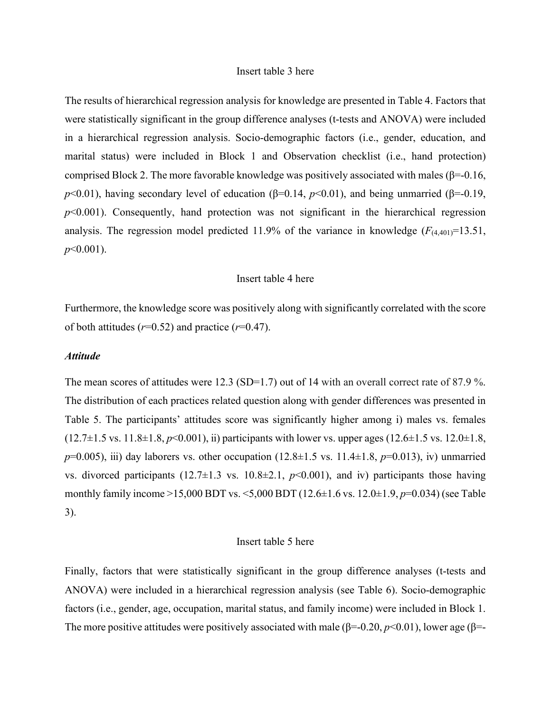#### Insert table 3 here

The results of hierarchical regression analysis for knowledge are presented in Table 4. Factors that were statistically significant in the group difference analyses (t-tests and ANOVA) were included in a hierarchical regression analysis. Socio-demographic factors (i.e., gender, education, and marital status) were included in Block 1 and Observation checklist (i.e., hand protection) comprised Block 2. The more favorable knowledge was positively associated with males ( $\beta$ =-0.16,  $p<0.01$ ), having secondary level of education (β=0.14,  $p<0.01$ ), and being unmarried (β=-0.19,  $p<0.001$ ). Consequently, hand protection was not significant in the hierarchical regression analysis. The regression model predicted 11.9% of the variance in knowledge  $(F_{(4,401)}=13.51)$ , *p*<0.001).

# Insert table 4 here

Furthermore, the knowledge score was positively along with significantly correlated with the score of both attitudes  $(r=0.52)$  and practice  $(r=0.47)$ .

## *Attitude*

The mean scores of attitudes were 12.3 (SD=1.7) out of 14 with an overall correct rate of 87.9 %. The distribution of each practices related question along with gender differences was presented in Table 5. The participants' attitudes score was significantly higher among i) males vs. females  $(12.7\pm1.5 \text{ vs. } 11.8\pm1.8, p<0.001)$ , ii) participants with lower vs. upper ages  $(12.6\pm1.5 \text{ vs. } 12.0\pm1.8, p<0.001)$ *p*=0.005), iii) day laborers vs. other occupation (12.8±1.5 vs. 11.4±1.8, *p*=0.013), iv) unmarried vs. divorced participants  $(12.7\pm1.3 \text{ vs. } 10.8\pm2.1, p<0.001)$ , and iv) participants those having monthly family income >15,000 BDT vs. <5,000 BDT (12.6±1.6 vs. 12.0±1.9, *p*=0.034) (see Table 3).

#### Insert table 5 here

Finally, factors that were statistically significant in the group difference analyses (t-tests and ANOVA) were included in a hierarchical regression analysis (see Table 6). Socio-demographic factors (i.e., gender, age, occupation, marital status, and family income) were included in Block 1. The more positive attitudes were positively associated with male ( $\beta$ =-0.20,  $p$ <0.01), lower age ( $\beta$ =-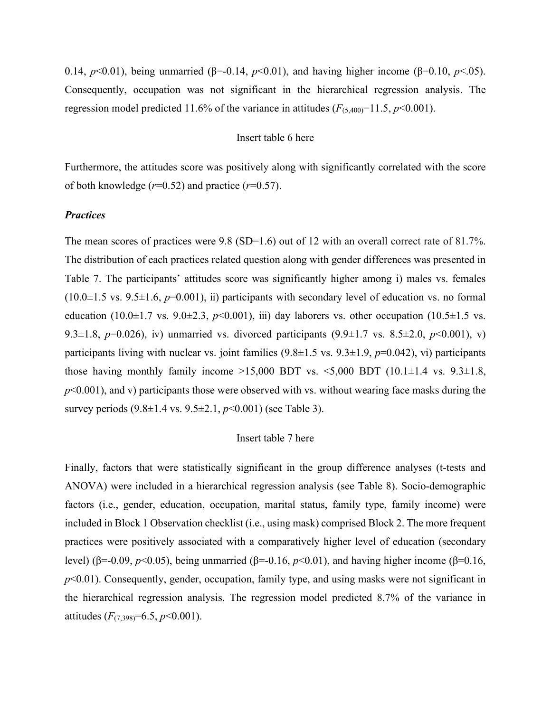0.14, *p*<0.01), being unmarried (β=-0.14, *p*<0.01), and having higher income (β=0.10, *p*<.05). Consequently, occupation was not significant in the hierarchical regression analysis. The regression model predicted 11.6% of the variance in attitudes  $(F_{(5,400)}=11.5, p<0.001)$ .

## Insert table 6 here

Furthermore, the attitudes score was positively along with significantly correlated with the score of both knowledge  $(r=0.52)$  and practice  $(r=0.57)$ .

#### *Practices*

The mean scores of practices were 9.8 (SD=1.6) out of 12 with an overall correct rate of 81.7%. The distribution of each practices related question along with gender differences was presented in Table 7. The participants' attitudes score was significantly higher among i) males vs. females  $(10.0\pm1.5 \text{ vs. } 9.5\pm1.6, p=0.001)$ , ii) participants with secondary level of education vs. no formal education  $(10.0\pm1.7 \text{ vs. } 9.0\pm2.3, p<0.001)$ , iii) day laborers vs. other occupation  $(10.5\pm1.5 \text{ vs. } 1.5 \text{ vs. } 1.5 \text{ vs. } 1.5 \text{ vs. } 1.5 \text{ vs. } 1.5 \text{ vs. } 1.5 \text{ vs. } 1.5 \text{ vs. } 1.5 \text{ vs. } 1.5 \text{ vs. } 1.5 \text{ vs. } 1.5 \text{ vs. } 1.5 \text{$ 9.3 $\pm$ 1.8, *p*=0.026), iv) unmarried vs. divorced participants (9.9 $\pm$ 1.7 vs. 8.5 $\pm$ 2.0, *p*<0.001), v) participants living with nuclear vs. joint families (9.8±1.5 vs. 9.3±1.9, *p*=0.042), ⅵ) participants those having monthly family income  $>15,000$  BDT vs.  $\leq 5,000$  BDT  $(10.1 \pm 1.4 \text{ vs. } 9.3 \pm 1.8,$  $p<0.001$ ), and v) participants those were observed with vs. without wearing face masks during the survey periods (9.8±1.4 vs. 9.5±2.1, *p*<0.001) (see Table 3).

### Insert table 7 here

Finally, factors that were statistically significant in the group difference analyses (t-tests and ANOVA) were included in a hierarchical regression analysis (see Table 8). Socio-demographic factors (i.e., gender, education, occupation, marital status, family type, family income) were included in Block 1 Observation checklist (i.e., using mask) comprised Block 2. The more frequent practices were positively associated with a comparatively higher level of education (secondary level) (β=-0.09, *p*<0.05), being unmarried (β=-0.16, *p*<0.01), and having higher income (β=0.16, *p*<0.01). Consequently, gender, occupation, family type, and using masks were not significant in the hierarchical regression analysis. The regression model predicted 8.7% of the variance in attitudes  $(F_{(7,398)}=6.5, p<0.001)$ .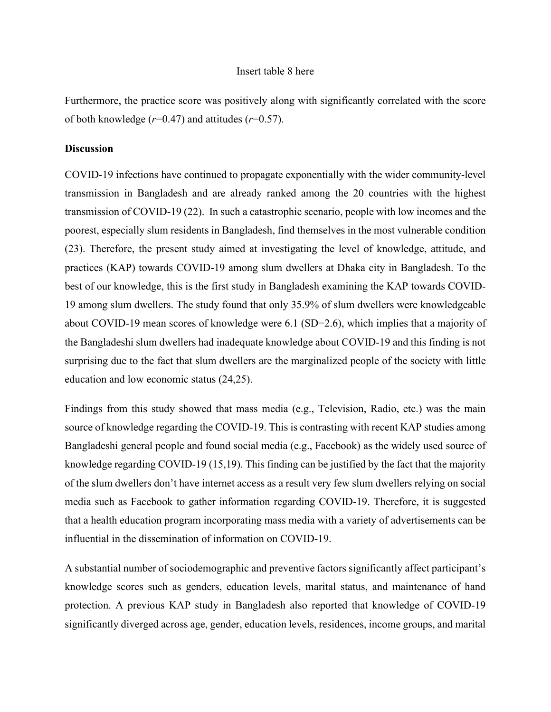## Insert table 8 here

Furthermore, the practice score was positively along with significantly correlated with the score of both knowledge  $(r=0.47)$  and attitudes  $(r=0.57)$ .

#### **Discussion**

COVID-19 infections have continued to propagate exponentially with the wider community-level transmission in Bangladesh and are already ranked among the 20 countries with the highest transmission of COVID-19 (22). In such a catastrophic scenario, people with low incomes and the poorest, especially slum residents in Bangladesh, find themselves in the most vulnerable condition (23). Therefore, the present study aimed at investigating the level of knowledge, attitude, and practices (KAP) towards COVID-19 among slum dwellers at Dhaka city in Bangladesh. To the best of our knowledge, this is the first study in Bangladesh examining the KAP towards COVID-19 among slum dwellers. The study found that only 35.9% of slum dwellers were knowledgeable about COVID-19 mean scores of knowledge were 6.1 (SD=2.6), which implies that a majority of the Bangladeshi slum dwellers had inadequate knowledge about COVID-19 and this finding is not surprising due to the fact that slum dwellers are the marginalized people of the society with little education and low economic status (24,25).

Findings from this study showed that mass media (e.g., Television, Radio, etc.) was the main source of knowledge regarding the COVID-19. This is contrasting with recent KAP studies among Bangladeshi general people and found social media (e.g., Facebook) as the widely used source of knowledge regarding COVID-19 (15,19). This finding can be justified by the fact that the majority of the slum dwellers don't have internet access as a result very few slum dwellers relying on social media such as Facebook to gather information regarding COVID-19. Therefore, it is suggested that a health education program incorporating mass media with a variety of advertisements can be influential in the dissemination of information on COVID-19.

A substantial number of sociodemographic and preventive factors significantly affect participant's knowledge scores such as genders, education levels, marital status, and maintenance of hand protection. A previous KAP study in Bangladesh also reported that knowledge of COVID-19 significantly diverged across age, gender, education levels, residences, income groups, and marital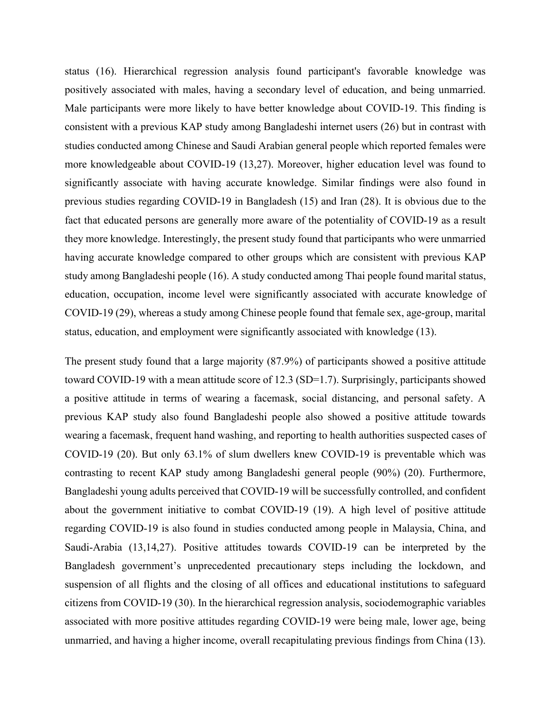status (16). Hierarchical regression analysis found participant's favorable knowledge was positively associated with males, having a secondary level of education, and being unmarried. Male participants were more likely to have better knowledge about COVID-19. This finding is consistent with a previous KAP study among Bangladeshi internet users (26) but in contrast with studies conducted among Chinese and Saudi Arabian general people which reported females were more knowledgeable about COVID-19 (13,27). Moreover, higher education level was found to significantly associate with having accurate knowledge. Similar findings were also found in previous studies regarding COVID-19 in Bangladesh (15) and Iran (28). It is obvious due to the fact that educated persons are generally more aware of the potentiality of COVID-19 as a result they more knowledge. Interestingly, the present study found that participants who were unmarried having accurate knowledge compared to other groups which are consistent with previous KAP study among Bangladeshi people (16). A study conducted among Thai people found marital status, education, occupation, income level were significantly associated with accurate knowledge of COVID-19 (29), whereas a study among Chinese people found that female sex, age-group, marital status, education, and employment were significantly associated with knowledge (13).

The present study found that a large majority (87.9%) of participants showed a positive attitude toward COVID-19 with a mean attitude score of 12.3 (SD=1.7). Surprisingly, participants showed a positive attitude in terms of wearing a facemask, social distancing, and personal safety. A previous KAP study also found Bangladeshi people also showed a positive attitude towards wearing a facemask, frequent hand washing, and reporting to health authorities suspected cases of COVID-19 (20). But only 63.1% of slum dwellers knew COVID-19 is preventable which was contrasting to recent KAP study among Bangladeshi general people (90%) (20). Furthermore, Bangladeshi young adults perceived that COVID-19 will be successfully controlled, and confident about the government initiative to combat COVID-19 (19). A high level of positive attitude regarding COVID-19 is also found in studies conducted among people in Malaysia, China, and Saudi-Arabia (13,14,27). Positive attitudes towards COVID-19 can be interpreted by the Bangladesh government's unprecedented precautionary steps including the lockdown, and suspension of all flights and the closing of all offices and educational institutions to safeguard citizens from COVID-19 (30). In the hierarchical regression analysis, sociodemographic variables associated with more positive attitudes regarding COVID-19 were being male, lower age, being unmarried, and having a higher income, overall recapitulating previous findings from China (13).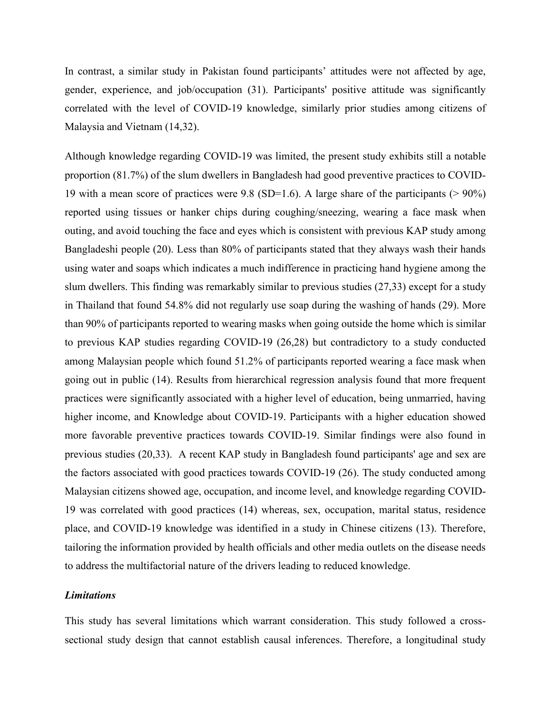In contrast, a similar study in Pakistan found participants' attitudes were not affected by age, gender, experience, and job/occupation (31). Participants' positive attitude was significantly correlated with the level of COVID-19 knowledge, similarly prior studies among citizens of Malaysia and Vietnam (14,32).

Although knowledge regarding COVID-19 was limited, the present study exhibits still a notable proportion (81.7%) of the slum dwellers in Bangladesh had good preventive practices to COVID-19 with a mean score of practices were 9.8 (SD=1.6). A large share of the participants (> 90%) reported using tissues or hanker chips during coughing/sneezing, wearing a face mask when outing, and avoid touching the face and eyes which is consistent with previous KAP study among Bangladeshi people (20). Less than 80% of participants stated that they always wash their hands using water and soaps which indicates a much indifference in practicing hand hygiene among the slum dwellers. This finding was remarkably similar to previous studies (27,33) except for a study in Thailand that found 54.8% did not regularly use soap during the washing of hands (29). More than 90% of participants reported to wearing masks when going outside the home which is similar to previous KAP studies regarding COVID-19 (26,28) but contradictory to a study conducted among Malaysian people which found 51.2% of participants reported wearing a face mask when going out in public (14). Results from hierarchical regression analysis found that more frequent practices were significantly associated with a higher level of education, being unmarried, having higher income, and Knowledge about COVID-19. Participants with a higher education showed more favorable preventive practices towards COVID-19. Similar findings were also found in previous studies (20,33). A recent KAP study in Bangladesh found participants' age and sex are the factors associated with good practices towards COVID-19 (26). The study conducted among Malaysian citizens showed age, occupation, and income level, and knowledge regarding COVID-19 was correlated with good practices (14) whereas, sex, occupation, marital status, residence place, and COVID-19 knowledge was identified in a study in Chinese citizens (13). Therefore, tailoring the information provided by health officials and other media outlets on the disease needs to address the multifactorial nature of the drivers leading to reduced knowledge.

# *Limitations*

This study has several limitations which warrant consideration. This study followed a crosssectional study design that cannot establish causal inferences. Therefore, a longitudinal study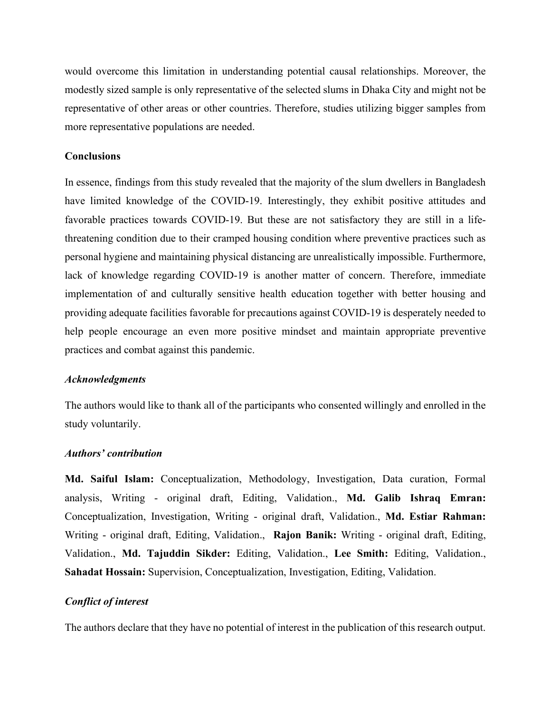would overcome this limitation in understanding potential causal relationships. Moreover, the modestly sized sample is only representative of the selected slums in Dhaka City and might not be representative of other areas or other countries. Therefore, studies utilizing bigger samples from more representative populations are needed.

# **Conclusions**

In essence, findings from this study revealed that the majority of the slum dwellers in Bangladesh have limited knowledge of the COVID-19. Interestingly, they exhibit positive attitudes and favorable practices towards COVID-19. But these are not satisfactory they are still in a lifethreatening condition due to their cramped housing condition where preventive practices such as personal hygiene and maintaining physical distancing are unrealistically impossible. Furthermore, lack of knowledge regarding COVID-19 is another matter of concern. Therefore, immediate implementation of and culturally sensitive health education together with better housing and providing adequate facilities favorable for precautions against COVID-19 is desperately needed to help people encourage an even more positive mindset and maintain appropriate preventive practices and combat against this pandemic.

#### *Acknowledgments*

The authors would like to thank all of the participants who consented willingly and enrolled in the study voluntarily.

## *Authors' contribution*

**Md. Saiful Islam:** Conceptualization, Methodology, Investigation, Data curation, Formal analysis, Writing - original draft, Editing, Validation., **Md. Galib Ishraq Emran:**  Conceptualization, Investigation, Writing - original draft, Validation., **Md. Estiar Rahman:**  Writing - original draft, Editing, Validation., **Rajon Banik:** Writing - original draft, Editing, Validation., **Md. Tajuddin Sikder:** Editing, Validation., **Lee Smith:** Editing, Validation., **Sahadat Hossain:** Supervision, Conceptualization, Investigation, Editing, Validation.

#### *Conflict of interest*

The authors declare that they have no potential of interest in the publication of this research output.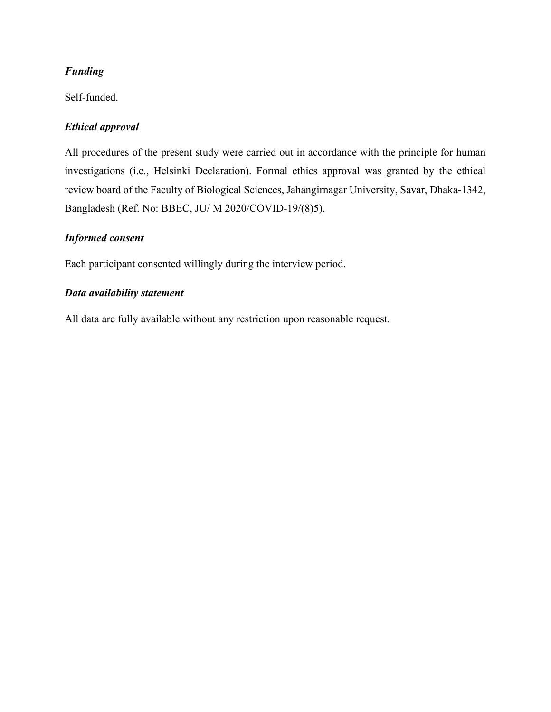# *Funding*

Self-funded.

# *Ethical approval*

All procedures of the present study were carried out in accordance with the principle for human investigations (i.e., Helsinki Declaration). Formal ethics approval was granted by the ethical review board of the Faculty of Biological Sciences, Jahangirnagar University, Savar, Dhaka-1342, Bangladesh (Ref. No: BBEC, JU/ M 2020/COVID-19/(8)5).

# *Informed consent*

Each participant consented willingly during the interview period.

# *Data availability statement*

All data are fully available without any restriction upon reasonable request.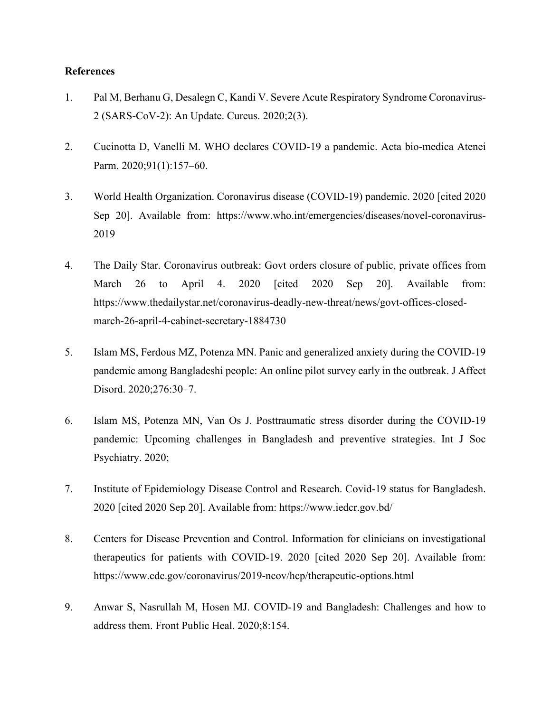# **References**

- 1. Pal M, Berhanu G, Desalegn C, Kandi V. Severe Acute Respiratory Syndrome Coronavirus-2 (SARS-CoV-2): An Update. Cureus. 2020;2(3).
- 2. Cucinotta D, Vanelli M. WHO declares COVID-19 a pandemic. Acta bio-medica Atenei Parm. 2020;91(1):157-60.
- 3. World Health Organization. Coronavirus disease (COVID-19) pandemic. 2020 [cited 2020 Sep 20]. Available from: https://www.who.int/emergencies/diseases/novel-coronavirus-2019
- 4. The Daily Star. Coronavirus outbreak: Govt orders closure of public, private offices from March 26 to April 4. 2020 [cited 2020 Sep 20]. Available from: https://www.thedailystar.net/coronavirus-deadly-new-threat/news/govt-offices-closedmarch-26-april-4-cabinet-secretary-1884730
- 5. Islam MS, Ferdous MZ, Potenza MN. Panic and generalized anxiety during the COVID-19 pandemic among Bangladeshi people: An online pilot survey early in the outbreak. J Affect Disord. 2020;276:30–7.
- 6. Islam MS, Potenza MN, Van Os J. Posttraumatic stress disorder during the COVID-19 pandemic: Upcoming challenges in Bangladesh and preventive strategies. Int J Soc Psychiatry. 2020;
- 7. Institute of Epidemiology Disease Control and Research. Covid-19 status for Bangladesh. 2020 [cited 2020 Sep 20]. Available from: https://www.iedcr.gov.bd/
- 8. Centers for Disease Prevention and Control. Information for clinicians on investigational therapeutics for patients with COVID-19. 2020 [cited 2020 Sep 20]. Available from: https://www.cdc.gov/coronavirus/2019-ncov/hcp/therapeutic-options.html
- 9. Anwar S, Nasrullah M, Hosen MJ. COVID-19 and Bangladesh: Challenges and how to address them. Front Public Heal. 2020;8:154.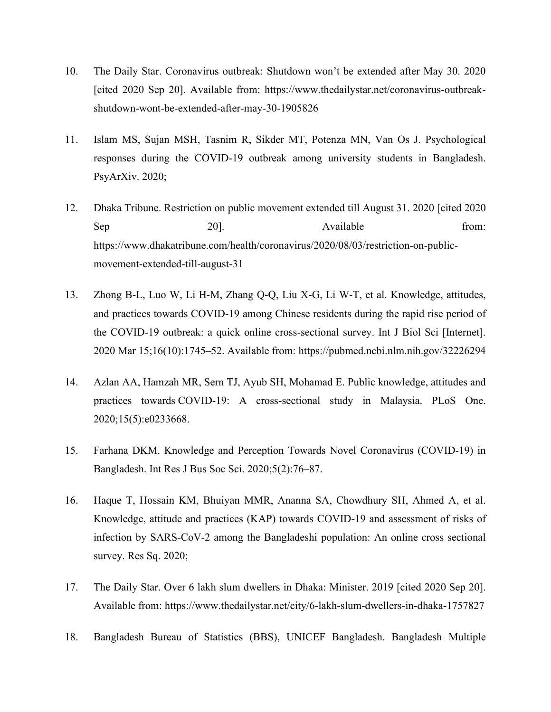- 10. The Daily Star. Coronavirus outbreak: Shutdown won't be extended after May 30. 2020 [cited 2020 Sep 20]. Available from: https://www.thedailystar.net/coronavirus-outbreakshutdown-wont-be-extended-after-may-30-1905826
- 11. Islam MS, Sujan MSH, Tasnim R, Sikder MT, Potenza MN, Van Os J. Psychological responses during the COVID-19 outbreak among university students in Bangladesh. PsyArXiv. 2020;
- 12. Dhaka Tribune. Restriction on public movement extended till August 31. 2020 [cited 2020 Sep 20]. 201. Available from: https://www.dhakatribune.com/health/coronavirus/2020/08/03/restriction-on-publicmovement-extended-till-august-31
- 13. Zhong B-L, Luo W, Li H-M, Zhang Q-Q, Liu X-G, Li W-T, et al. Knowledge, attitudes, and practices towards COVID-19 among Chinese residents during the rapid rise period of the COVID-19 outbreak: a quick online cross-sectional survey. Int J Biol Sci [Internet]. 2020 Mar 15;16(10):1745–52. Available from: https://pubmed.ncbi.nlm.nih.gov/32226294
- 14. Azlan AA, Hamzah MR, Sern TJ, Ayub SH, Mohamad E. Public knowledge, attitudes and practices towards COVID-19: A cross-sectional study in Malaysia. PLoS One. 2020;15(5):e0233668.
- 15. Farhana DKM. Knowledge and Perception Towards Novel Coronavirus (COVID-19) in Bangladesh. Int Res J Bus Soc Sci. 2020;5(2):76–87.
- 16. Haque T, Hossain KM, Bhuiyan MMR, Ananna SA, Chowdhury SH, Ahmed A, et al. Knowledge, attitude and practices (KAP) towards COVID-19 and assessment of risks of infection by SARS-CoV-2 among the Bangladeshi population: An online cross sectional survey. Res Sq. 2020;
- 17. The Daily Star. Over 6 lakh slum dwellers in Dhaka: Minister. 2019 [cited 2020 Sep 20]. Available from: https://www.thedailystar.net/city/6-lakh-slum-dwellers-in-dhaka-1757827
- 18. Bangladesh Bureau of Statistics (BBS), UNICEF Bangladesh. Bangladesh Multiple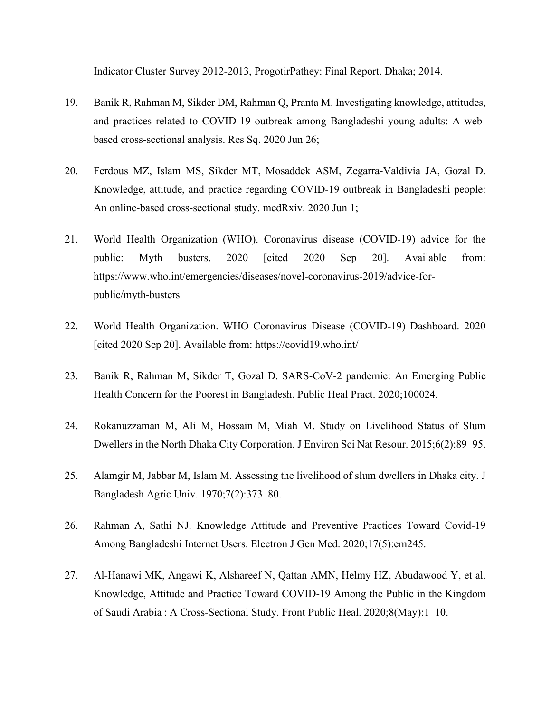Indicator Cluster Survey 2012-2013, ProgotirPathey: Final Report. Dhaka; 2014.

- 19. Banik R, Rahman M, Sikder DM, Rahman Q, Pranta M. Investigating knowledge, attitudes, and practices related to COVID-19 outbreak among Bangladeshi young adults: A webbased cross-sectional analysis. Res Sq. 2020 Jun 26;
- 20. Ferdous MZ, Islam MS, Sikder MT, Mosaddek ASM, Zegarra-Valdivia JA, Gozal D. Knowledge, attitude, and practice regarding COVID-19 outbreak in Bangladeshi people: An online-based cross-sectional study. medRxiv. 2020 Jun 1;
- 21. World Health Organization (WHO). Coronavirus disease (COVID-19) advice for the public: Myth busters. 2020 [cited 2020 Sep 20]. Available from: https://www.who.int/emergencies/diseases/novel-coronavirus-2019/advice-forpublic/myth-busters
- 22. World Health Organization. WHO Coronavirus Disease (COVID-19) Dashboard. 2020 [cited 2020 Sep 20]. Available from: https://covid19.who.int/
- 23. Banik R, Rahman M, Sikder T, Gozal D. SARS-CoV-2 pandemic: An Emerging Public Health Concern for the Poorest in Bangladesh. Public Heal Pract. 2020;100024.
- 24. Rokanuzzaman M, Ali M, Hossain M, Miah M. Study on Livelihood Status of Slum Dwellers in the North Dhaka City Corporation. J Environ Sci Nat Resour. 2015;6(2):89–95.
- 25. Alamgir M, Jabbar M, Islam M. Assessing the livelihood of slum dwellers in Dhaka city. J Bangladesh Agric Univ. 1970;7(2):373–80.
- 26. Rahman A, Sathi NJ. Knowledge Attitude and Preventive Practices Toward Covid-19 Among Bangladeshi Internet Users. Electron J Gen Med. 2020;17(5):em245.
- 27. Al-Hanawi MK, Angawi K, Alshareef N, Qattan AMN, Helmy HZ, Abudawood Y, et al. Knowledge, Attitude and Practice Toward COVID-19 Among the Public in the Kingdom of Saudi Arabia : A Cross-Sectional Study. Front Public Heal. 2020;8(May):1–10.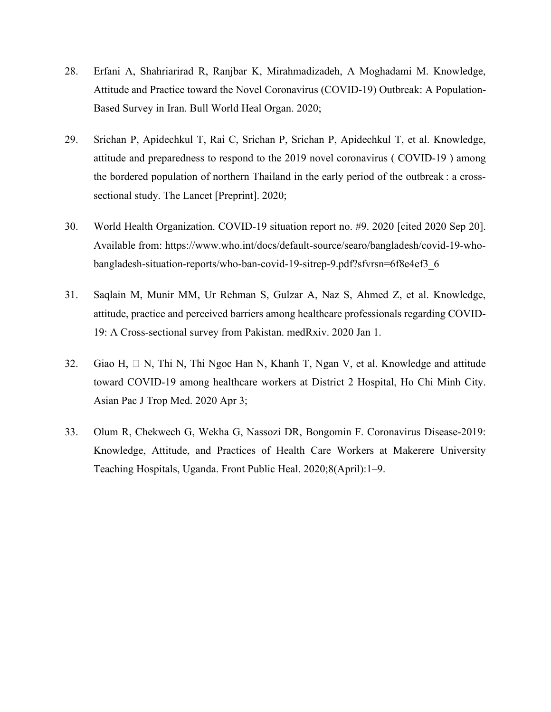- 28. Erfani A, Shahriarirad R, Ranjbar K, Mirahmadizadeh, A Moghadami M. Knowledge, Attitude and Practice toward the Novel Coronavirus (COVID-19) Outbreak: A Population-Based Survey in Iran. Bull World Heal Organ. 2020;
- 29. Srichan P, Apidechkul T, Rai C, Srichan P, Srichan P, Apidechkul T, et al. Knowledge, attitude and preparedness to respond to the 2019 novel coronavirus ( COVID-19 ) among the bordered population of northern Thailand in the early period of the outbreak : a crosssectional study. The Lancet [Preprint]. 2020;
- 30. World Health Organization. COVID-19 situation report no. #9. 2020 [cited 2020 Sep 20]. Available from: https://www.who.int/docs/default-source/searo/bangladesh/covid-19-whobangladesh-situation-reports/who-ban-covid-19-sitrep-9.pdf?sfvrsn=6f8e4ef3\_6
- 31. Saqlain M, Munir MM, Ur Rehman S, Gulzar A, Naz S, Ahmed Z, et al. Knowledge, attitude, practice and perceived barriers among healthcare professionals regarding COVID-19: A Cross-sectional survey from Pakistan. medRxiv. 2020 Jan 1.
- 32. Giao H,  $\Box$  N, Thi N, Thi Ngoc Han N, Khanh T, Ngan V, et al. Knowledge and attitude toward COVID-19 among healthcare workers at District 2 Hospital, Ho Chi Minh City. Asian Pac J Trop Med. 2020 Apr 3;
- 33. Olum R, Chekwech G, Wekha G, Nassozi DR, Bongomin F. Coronavirus Disease-2019: Knowledge, Attitude, and Practices of Health Care Workers at Makerere University Teaching Hospitals, Uganda. Front Public Heal. 2020;8(April):1–9.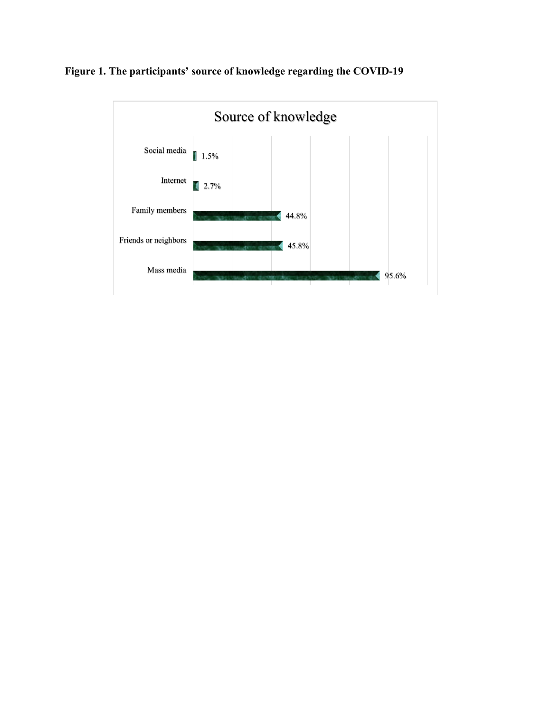

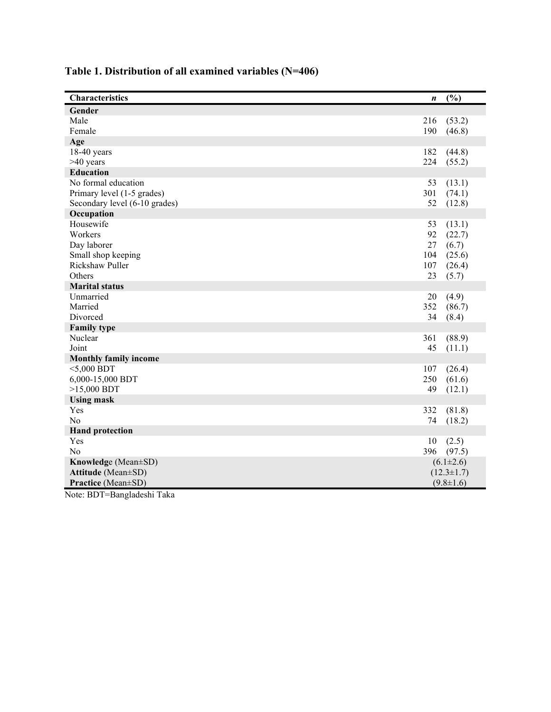| Characteristics               | n   | (%)              |
|-------------------------------|-----|------------------|
| Gender                        |     |                  |
| Male                          | 216 | (53.2)           |
| Female                        | 190 | (46.8)           |
| Age                           |     |                  |
| $18-40$ years                 | 182 | (44.8)           |
| >40 years                     | 224 | (55.2)           |
| <b>Education</b>              |     |                  |
| No formal education           | 53  | (13.1)           |
| Primary level (1-5 grades)    | 301 | (74.1)           |
| Secondary level (6-10 grades) | 52  | (12.8)           |
| Occupation                    |     |                  |
| Housewife                     | 53  | (13.1)           |
| Workers                       | 92  | (22.7)           |
| Day laborer                   | 27  | (6.7)            |
| Small shop keeping            | 104 | (25.6)           |
| Rickshaw Puller               | 107 | (26.4)           |
| Others                        | 23  | (5.7)            |
| <b>Marital status</b>         |     |                  |
| Unmarried                     | 20  | (4.9)            |
| Married                       | 352 | (86.7)           |
| Divorced                      | 34  | (8.4)            |
| <b>Family type</b>            |     |                  |
| Nuclear                       | 361 | (88.9)           |
| Joint                         | 45  | (11.1)           |
| <b>Monthly family income</b>  |     |                  |
| $<$ 5,000 BDT                 | 107 | (26.4)           |
| 6,000-15,000 BDT              | 250 | (61.6)           |
| $>15,000$ BDT                 | 49  | (12.1)           |
| <b>Using mask</b>             |     |                  |
| Yes<br>N <sub>o</sub>         | 332 | (81.8)           |
|                               | 74  | (18.2)           |
| <b>Hand protection</b><br>Yes | 10  |                  |
| No                            | 396 | (2.5)<br>(97.5)  |
| Knowledge (Mean±SD)           |     | $(6.1 \pm 2.6)$  |
| Attitude (Mean±SD)            |     | $(12.3 \pm 1.7)$ |
| Practice (Mean±SD)            |     | $(9.8 \pm 1.6)$  |
| P P R R<br>$\cdot$ $\sim$     |     |                  |

# **Table 1 . Distribution of all examined variables (N=406)**

Note: BDT=Bangladeshi Taka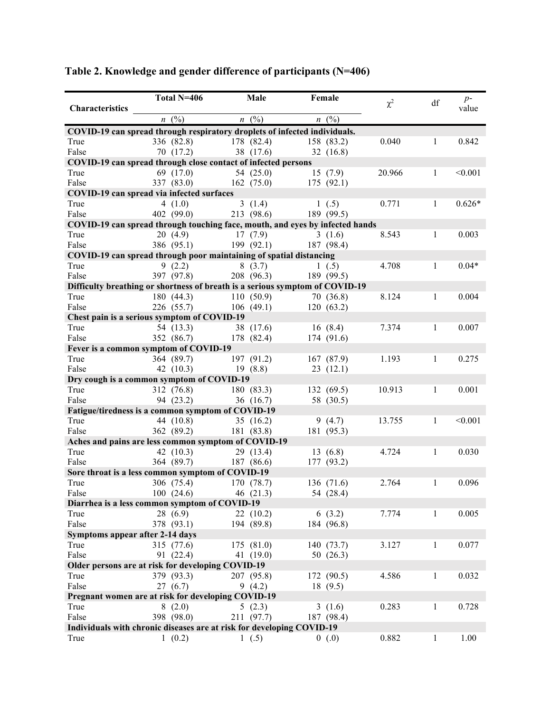|                                                                              | Total N=406                        |            | Male       |           | Female      |          |              |               |
|------------------------------------------------------------------------------|------------------------------------|------------|------------|-----------|-------------|----------|--------------|---------------|
| <b>Characteristics</b>                                                       |                                    |            |            |           |             | $\chi^2$ | df           | $p-$<br>value |
|                                                                              | $n \ (\%)$                         |            |            |           |             |          |              |               |
|                                                                              |                                    |            | $n \ (\%)$ |           | $n \ (\%)$  |          |              |               |
| COVID-19 can spread through respiratory droplets of infected individuals.    |                                    |            |            |           |             |          |              |               |
| True                                                                         | 336 (82.8) 178 (82.4)              |            |            |           | 158 (83.2)  | 0.040    | 1            | 0.842         |
| False                                                                        | 70(17.2)                           | 38 (17.6)  |            |           | 32(16.8)    |          |              |               |
| COVID-19 can spread through close contact of infected persons                |                                    |            |            |           |             |          |              |               |
| True                                                                         | 69 (17.0)                          | 54(25.0)   |            | 15(7.9)   |             | 20.966   | $\mathbf{1}$ | < 0.001       |
| False                                                                        | 337 (83.0) 162 (75.0) 175 (92.1)   |            |            |           |             |          |              |               |
| COVID-19 can spread via infected surfaces                                    |                                    |            |            |           |             |          |              |               |
| True                                                                         | 4 $(1.0)$                          |            | 3(1.4)     | 1(0.5)    |             | 0.771    | $\mathbf{1}$ | $0.626*$      |
| False                                                                        | 402 (99.0) 213 (98.6) 189 (99.5)   |            |            |           |             |          |              |               |
| COVID-19 can spread through touching face, mouth, and eyes by infected hands |                                    |            |            |           |             |          |              |               |
| True                                                                         | 20(4.9)                            | 17(7.9)    |            |           | 3(1.6)      | 8.543    | $\mathbf{1}$ | 0.003         |
| False                                                                        | 386 (95.1) 199 (92.1) 187 (98.4)   |            |            |           |             |          |              |               |
| COVID-19 can spread through poor maintaining of spatial distancing           |                                    |            |            |           |             |          |              |               |
| True                                                                         | 9(2.2)                             | 8(3.7)     |            | 1(0.5)    |             | 4.708    | $\mathbf{1}$ | $0.04*$       |
| False                                                                        | 397 (97.8) $208 (96.3)$ 189 (99.5) |            |            |           |             |          |              |               |
| Difficulty breathing or shortness of breath is a serious symptom of COVID-19 |                                    |            |            |           |             |          |              |               |
| True                                                                         | 180(44.3)                          | 110(50.9)  |            | 70 (36.8) |             | 8.124    | $\mathbf{1}$ | 0.004         |
| False                                                                        | 226 (55.7)                         | 106(49.1)  |            |           | 120(63.2)   |          |              |               |
| Chest pain is a serious symptom of COVID-19                                  |                                    |            |            |           |             |          |              |               |
| True                                                                         | 54 (13.3)                          | 38 (17.6)  |            | 16(8.4)   |             | 7.374    | 1            | 0.007         |
| False                                                                        | 352 (86.7)                         | 178 (82.4) |            |           | 174 (91.6)  |          |              |               |
| Fever is a common symptom of COVID-19                                        |                                    |            |            |           |             |          |              |               |
| True                                                                         | 364 (89.7)                         | 197 (91.2) |            |           | 167 (87.9)  | 1.193    | $\mathbf{1}$ | 0.275         |
| False                                                                        | 42 $(10.3)$                        | 19(8.8)    |            |           | 23(12.1)    |          |              |               |
|                                                                              |                                    |            |            |           |             |          |              |               |
| Dry cough is a common symptom of COVID-19                                    |                                    |            |            |           |             |          | $\mathbf{1}$ |               |
| True                                                                         | 312 (76.8)                         | 180 (83.3) |            |           | 132(69.5)   | 10.913   |              | 0.001         |
| False                                                                        | 94 (23.2)                          |            | 36 (16.7)  |           | 58 (30.5)   |          |              |               |
| Fatigue/tiredness is a common symptom of COVID-19                            |                                    |            |            |           |             |          |              |               |
| True                                                                         | 44 $(10.8)$                        | 35(16.2)   |            |           | 9(4.7)      | 13.755   | $\mathbf{1}$ | < 0.001       |
| False                                                                        | 362 (89.2)                         | 181 (83.8) |            |           | 181 (95.3)  |          |              |               |
| Aches and pains are less common symptom of COVID-19                          |                                    |            |            |           |             |          |              |               |
| True                                                                         | 42 $(10.3)$                        | 29 (13.4)  |            |           | 13(6.8)     | 4.724    | $\mathbf{1}$ | 0.030         |
| False                                                                        | 364 (89.7)                         | 187 (86.6) |            |           | 177 (93.2)  |          |              |               |
| Sore throat is a less common symptom of COVID-19                             |                                    |            |            |           |             |          |              |               |
| True                                                                         | 306 (75.4)                         | 170 (78.7) |            |           | 136 (71.6)  | 2.764    | 1            | 0.096         |
| False                                                                        | $100(24.6)$ 46 (21.3)              |            |            |           | 54 (28.4)   |          |              |               |
| Diarrhea is a less common symptom of COVID-19                                |                                    |            |            |           |             |          |              |               |
| True                                                                         | 28 (6.9)                           |            | 22(10.2)   |           | 6(3.2)      | 7.774    | 1            | 0.005         |
| False                                                                        | 378 (93.1)                         |            | 194 (89.8) |           | 184 (96.8)  |          |              |               |
| Symptoms appear after 2-14 days                                              |                                    |            |            |           |             |          |              |               |
| True                                                                         | 315 (77.6)                         |            | 175 (81.0) |           | 140 (73.7)  | 3.127    | $\mathbf{1}$ | 0.077         |
| False                                                                        | 91 (22.4)                          |            | 41 (19.0)  |           | 50 $(26.3)$ |          |              |               |
| Older persons are at risk for developing COVID-19                            |                                    |            |            |           |             |          |              |               |
| True                                                                         | 379 (93.3)                         |            | 207 (95.8) |           | 172 (90.5)  | 4.586    | $\mathbf{1}$ | 0.032         |
| False                                                                        | 27 (6.7)                           |            | 9(4.2)     |           | 18(9.5)     |          |              |               |
| Pregnant women are at risk for developing COVID-19                           |                                    |            |            |           |             |          |              |               |
| True                                                                         | 8(2.0)                             |            | 5(2.3)     |           | 3(1.6)      | 0.283    | $\mathbf{1}$ | 0.728         |
| False                                                                        | 398 (98.0)                         |            | 211 (97.7) |           | 187 (98.4)  |          |              |               |
| Individuals with chronic diseases are at risk for developing COVID-19        |                                    |            |            |           |             |          |              |               |
|                                                                              |                                    |            |            |           |             | 0.882    |              |               |
| True                                                                         | 1(0.2)                             |            | 1(0.5)     |           | 0(0.0)      |          | $\mathbf{1}$ | 1.00          |

**Table 2. Knowledge and gender difference of participants (N=406)**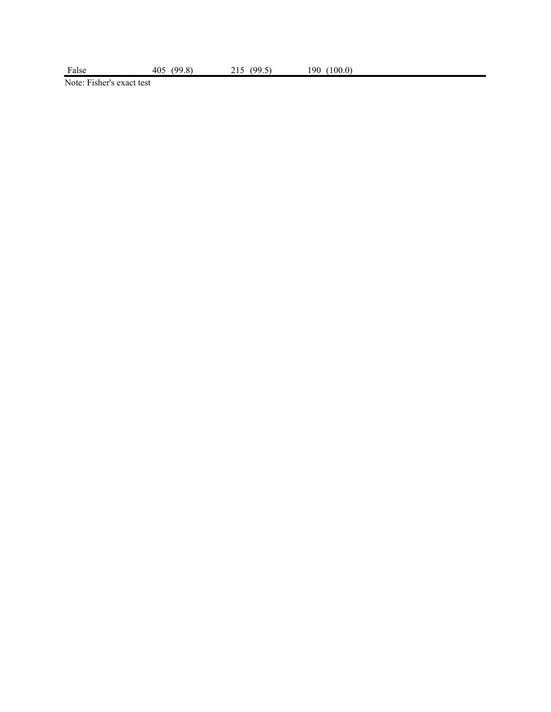Note: Fisher's exact test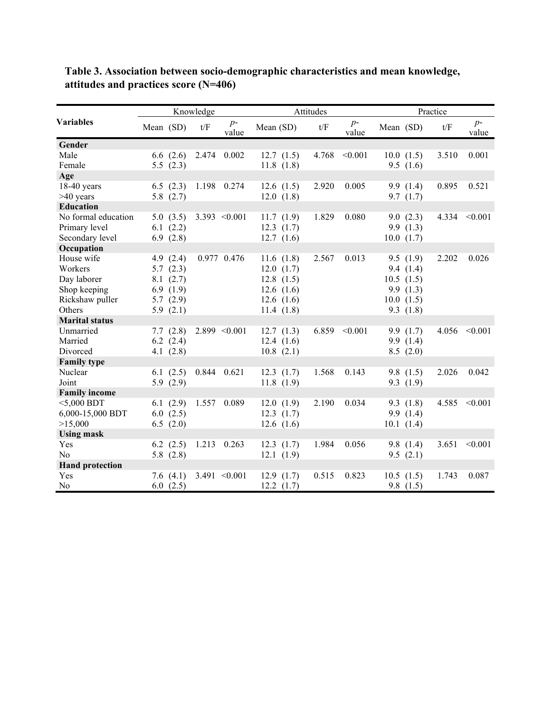|                        | Knowledge |               |     | Attitudes          | Practice     |       |               |           |             |       |                    |
|------------------------|-----------|---------------|-----|--------------------|--------------|-------|---------------|-----------|-------------|-------|--------------------|
| <b>Variables</b>       | Mean (SD) |               | t/F | $p-$<br>value      | Mean (SD)    | t/F   | $p-$<br>value | Mean (SD) |             | t/F   | $p-$<br>value      |
| Gender                 |           |               |     |                    |              |       |               |           |             |       |                    |
| Male                   |           | 6.6(2.6)      |     | 2.474 0.002        | 12.7(1.5)    | 4.768 | < 0.001       |           | 10.0(1.5)   | 3.510 | 0.001              |
| Female                 |           | 5.5(2.3)      |     |                    | 11.8(1.8)    |       |               |           | 9.5(1.6)    |       |                    |
| Age                    |           |               |     |                    |              |       |               |           |             |       |                    |
| $18-40$ years          |           | 6.5(2.3)      |     | 1.198 0.274        | 12.6(1.5)    | 2.920 | 0.005         |           | 9.9(1.4)    | 0.895 | 0.521              |
| $>40$ years            |           | 5.8 $(2.7)$   |     |                    | 12.0(1.8)    |       |               |           | 9.7(1.7)    |       |                    |
| <b>Education</b>       |           |               |     |                    |              |       |               |           |             |       |                    |
| No formal education    |           | 5.0(3.5)      |     | 3.393 $\leq 0.001$ | 11.7(1.9)    | 1.829 | 0.080         |           | 9.0(2.3)    |       | 4.334 $\leq 0.001$ |
| Primary level          |           | 6.1(2.2)      |     |                    | 12.3(1.7)    |       |               |           | 9.9(1.3)    |       |                    |
| Secondary level        |           | 6.9(2.8)      |     |                    | 12.7(1.6)    |       |               |           | 10.0(1.7)   |       |                    |
| Occupation             |           |               |     |                    |              |       |               |           |             |       |                    |
| House wife             |           | 4.9 $(2.4)$   |     | 0.977 0.476        | 11.6 $(1.8)$ | 2.567 | 0.013         |           | 9.5(1.9)    | 2.202 | 0.026              |
| Workers                |           | 5.7(2.3)      |     |                    | 12.0(1.7)    |       |               |           | 9.4(1.4)    |       |                    |
| Day laborer            |           | 8.1(2.7)      |     |                    | 12.8(1.5)    |       |               |           | 10.5(1.5)   |       |                    |
| Shop keeping           |           | 6.9 $(1.9)$   |     |                    | 12.6(1.6)    |       |               |           | 9.9(1.3)    |       |                    |
| Rickshaw puller        |           | 5.7(2.9)      |     |                    | 12.6(1.6)    |       |               |           | 10.0(1.5)   |       |                    |
| Others                 |           | 5.9 $(2.1)$   |     |                    | 11.4 $(1.8)$ |       |               |           | 9.3(1.8)    |       |                    |
| <b>Marital status</b>  |           |               |     |                    |              |       |               |           |             |       |                    |
| Unmarried              |           | 7.7(2.8)      |     | $2.899 \le 0.001$  | 12.7(1.3)    | 6.859 | < 0.001       |           | 9.9(1.7)    | 4.056 | < 0.001            |
| Married                |           | $6.2$ $(2.4)$ |     |                    | 12.4 $(1.6)$ |       |               |           | 9.9(1.4)    |       |                    |
| Divorced               |           | 4.1 $(2.8)$   |     |                    | 10.8(2.1)    |       |               |           | 8.5(2.0)    |       |                    |
| <b>Family type</b>     |           |               |     |                    |              |       |               |           |             |       |                    |
| Nuclear                |           | 6.1 $(2.5)$   |     | 0.844 0.621        | 12.3(1.7)    | 1.568 | 0.143         |           | 9.8 $(1.5)$ | 2.026 | 0.042              |
| Joint                  |           | 5.9 $(2.9)$   |     |                    | 11.8(1.9)    |       |               |           | 9.3(1.9)    |       |                    |
| <b>Family income</b>   |           |               |     |                    |              |       |               |           |             |       |                    |
| $5,000$ BDT            |           | 6.1(2.9)      |     | 1.557 0.089        | 12.0(1.9)    | 2.190 | 0.034         |           | 9.3(1.8)    | 4.585 | < 0.001            |
| 6,000-15,000 BDT       |           | 6.0(2.5)      |     |                    | 12.3(1.7)    |       |               |           | 9.9(1.4)    |       |                    |
| >15,000                |           | 6.5(2.0)      |     |                    | 12.6(1.6)    |       |               |           | 10.1(1.4)   |       |                    |
| <b>Using mask</b>      |           |               |     |                    |              |       |               |           |             |       |                    |
| Yes                    |           | 6.2 $(2.5)$   |     | 1.213 0.263        | 12.3(1.7)    | 1.984 | 0.056         |           | 9.8 $(1.4)$ | 3.651 | < 0.001            |
| No                     |           | 5.8 $(2.8)$   |     |                    | 12.1(1.9)    |       |               |           | 9.5(2.1)    |       |                    |
| <b>Hand protection</b> |           |               |     |                    |              |       |               |           |             |       |                    |
| Yes                    |           | 7.6 $(4.1)$   |     | 3.491 $\leq 0.001$ | 12.9(1.7)    | 0.515 | 0.823         |           | 10.5(1.5)   | 1.743 | 0.087              |
| No                     |           | 6.0(2.5)      |     |                    | 12.2(1.7)    |       |               |           | 9.8(1.5)    |       |                    |

**Table 3. Association between socio-demographic characteristics and mean knowledge, attitudes and practices score (N=406)**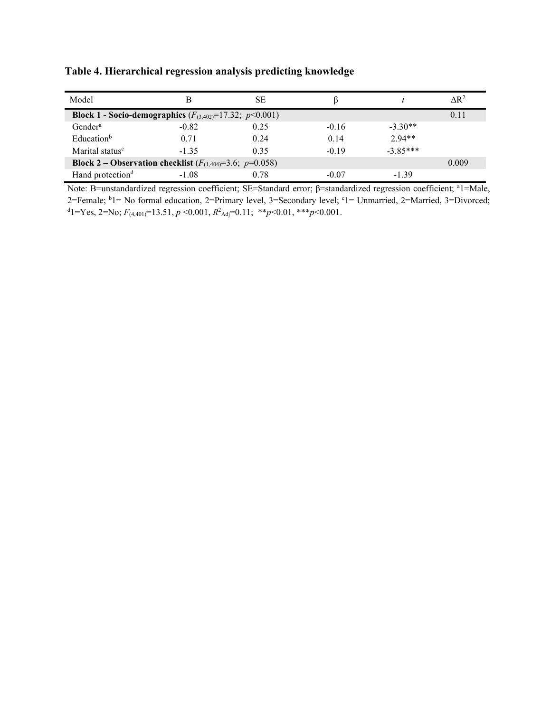| Model                                                               |         | SЕ   |         |            | $\Delta R^2$ |
|---------------------------------------------------------------------|---------|------|---------|------------|--------------|
| <b>Block 1 - Socio-demographics</b> $(F_{(3,402)}=17.32; p<0.001)$  |         |      |         |            | 0.11         |
| Gender <sup>a</sup>                                                 | $-0.82$ | 0.25 | $-0.16$ | $-3.30**$  |              |
| Education <sup>b</sup>                                              | 0.71    | 0.24 | 0.14    | $2.94**$   |              |
| Marital status <sup>c</sup>                                         | $-1.35$ | 0.35 | $-0.19$ | $-3.85***$ |              |
| <b>Block 2 – Observation checklist</b> $(F_{(1,404)}=3.6; p=0.058)$ |         |      |         |            | 0.009        |
| Hand protection <sup>d</sup>                                        | $-1.08$ | 0.78 | $-0.07$ | $-1.39$    |              |

**Table 4. Hierarchical regression analysis predicting knowledge**

Note: B=unstandardized regression coefficient; SE=Standard error; β=standardized regression coefficient; <sup>a</sup>1=Male, 2=Female; <sup>b</sup>1= No formal education, 2=Primary level, 3=Secondary level; <sup>c</sup>1= Unmarried, 2=Married, 3=Divorced; d 1=Yes, 2=No; *F*(4,401)=13.51, *p* <0.001, *R*<sup>2</sup> Adj=0.11; \*\**p*<0.01, \*\*\**p*<0.001.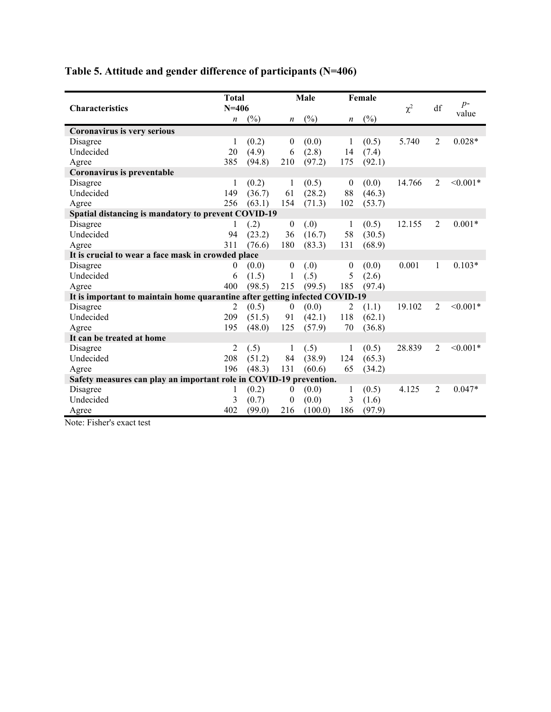# **Table 5. Attitude and gender difference of participants (N=406)**

|                                                                             | <b>Total</b>     |        | Male             |         | Female           |        | $\chi^2$ | df             | $p-$<br>value |  |
|-----------------------------------------------------------------------------|------------------|--------|------------------|---------|------------------|--------|----------|----------------|---------------|--|
| <b>Characteristics</b>                                                      | $N = 406$        |        |                  |         |                  |        |          |                |               |  |
|                                                                             | $\boldsymbol{n}$ | (%)    | $\boldsymbol{n}$ | (%)     | $\boldsymbol{n}$ | (%)    |          |                |               |  |
| Coronavirus is very serious                                                 |                  |        |                  |         |                  |        |          |                |               |  |
| Disagree                                                                    | 1                | (0.2)  | $\boldsymbol{0}$ | (0.0)   | 1                | (0.5)  | 5.740    | 2              | $0.028*$      |  |
| Undecided                                                                   | 20               | (4.9)  | 6                | (2.8)   | 14               | (7.4)  |          |                |               |  |
| Agree                                                                       | 385              | (94.8) | 210              | (97.2)  | 175              | (92.1) |          |                |               |  |
| Coronavirus is preventable                                                  |                  |        |                  |         |                  |        |          |                |               |  |
| Disagree                                                                    | 1                | (0.2)  | 1                | (0.5)   | $\mathbf{0}$     | (0.0)  | 14.766   | 2              | $< 0.001*$    |  |
| Undecided                                                                   | 149              | (36.7) | 61               | (28.2)  | 88               | (46.3) |          |                |               |  |
| Agree                                                                       | 256              | (63.1) | 154              | (71.3)  | 102              | (53.7) |          |                |               |  |
| Spatial distancing is mandatory to prevent COVID-19                         |                  |        |                  |         |                  |        |          |                |               |  |
| Disagree                                                                    |                  | (.2)   | $\boldsymbol{0}$ | (.0)    | 1                | (0.5)  | 12.155   | 2              | $0.001*$      |  |
| Undecided                                                                   | 94               | (23.2) | 36               | (16.7)  | 58               | (30.5) |          |                |               |  |
| Agree                                                                       | 311              | (76.6) | 180              | (83.3)  | 131              | (68.9) |          |                |               |  |
| It is crucial to wear a face mask in crowded place                          |                  |        |                  |         |                  |        |          |                |               |  |
| Disagree                                                                    | 0                | (0.0)  | $\boldsymbol{0}$ | (0.)    | $\boldsymbol{0}$ | (0.0)  | 0.001    | 1              | $0.103*$      |  |
| Undecided                                                                   | 6                | (1.5)  | 1                | (.5)    | 5                | (2.6)  |          |                |               |  |
| Agree                                                                       | 400              | (98.5) | 215              | (99.5)  | 185              | (97.4) |          |                |               |  |
| It is important to maintain home quarantine after getting infected COVID-19 |                  |        |                  |         |                  |        |          |                |               |  |
| Disagree                                                                    | $\overline{c}$   | (0.5)  | $\boldsymbol{0}$ | (0.0)   | 2                | (1.1)  | 19.102   | 2              | $< 0.001*$    |  |
| Undecided                                                                   | 209              | (51.5) | 91               | (42.1)  | 118              | (62.1) |          |                |               |  |
| Agree                                                                       | 195              | (48.0) | 125              | (57.9)  | 70               | (36.8) |          |                |               |  |
| It can be treated at home                                                   |                  |        |                  |         |                  |        |          |                |               |  |
| Disagree                                                                    | 2                | (.5)   | 1                | (.5)    | 1                | (0.5)  | 28.839   | 2              | $< 0.001*$    |  |
| Undecided                                                                   | 208              | (51.2) | 84               | (38.9)  | 124              | (65.3) |          |                |               |  |
| Agree                                                                       | 196              | (48.3) | 131              | (60.6)  | 65               | (34.2) |          |                |               |  |
| Safety measures can play an important role in COVID-19 prevention.          |                  |        |                  |         |                  |        |          |                |               |  |
| Disagree                                                                    | 1                | (0.2)  | $\boldsymbol{0}$ | (0.0)   | 1                | (0.5)  | 4.125    | $\mathfrak{D}$ | $0.047*$      |  |
| Undecided                                                                   | 3                | (0.7)  | $\theta$         | (0.0)   | 3                | (1.6)  |          |                |               |  |
| Agree                                                                       | 402              | (99.0) | 216              | (100.0) | 186              | (97.9) |          |                |               |  |

Note: Fisher's exact test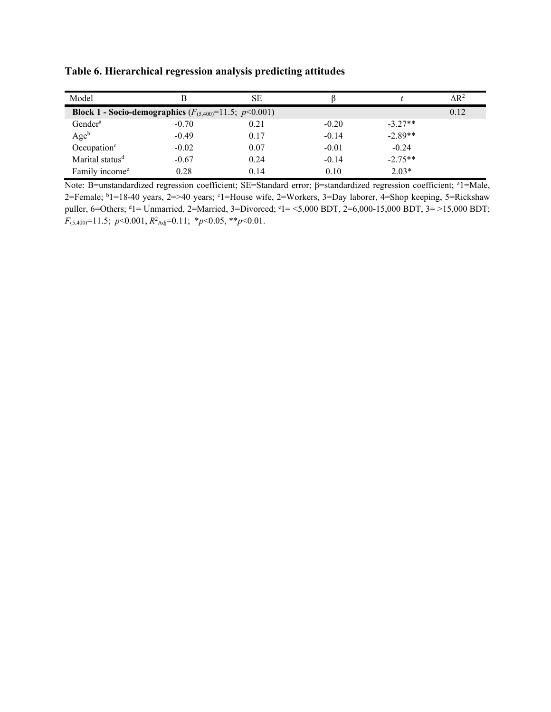| Model                                                             |         | SE   |         |           | $\Delta$ R <sup>2</sup> |
|-------------------------------------------------------------------|---------|------|---------|-----------|-------------------------|
| <b>Block 1 - Socio-demographics</b> $(F_{(5,400)}=11.5; p<0.001)$ |         |      |         |           | 0.12                    |
| Gender <sup>a</sup>                                               | $-0.70$ | 0.21 | $-0.20$ | $-3.27**$ |                         |
| Age <sup>b</sup>                                                  | $-0.49$ | 0.17 | $-0.14$ | $-2.89**$ |                         |
| Occupation $\circ$                                                | $-0.02$ | 0.07 | $-0.01$ | $-0.24$   |                         |
| Marital status <sup>d</sup>                                       | $-0.67$ | 0.24 | $-0.14$ | $-2.75**$ |                         |
| Family income <sup>e</sup>                                        | 0.28    | 0.14 | 0.10    | $2.03*$   |                         |

**Table 6. Hierarchical regression analysis predicting attitudes**

Note: B=unstandardized regression coefficient; SE=Standard error; β=standardized regression coefficient; al=Male, 2=Female; b 1=18-40 years, 2=>40 years; <sup>c</sup> 1=House wife, 2=Workers, 3=Day laborer, 4=Shop keeping, 5=Rickshaw puller, 6=Others; <sup>d</sup>1= Unmarried, 2=Married, 3=Divorced; <sup>e</sup>1= <5,000 BDT, 2=6,000-15,000 BDT, 3= >15,000 BDT; *F*(5,400)=11.5; *p*<0.001, *R*<sup>2</sup> Adj=0.11; \**p*<0.05, \*\**p*<0.01.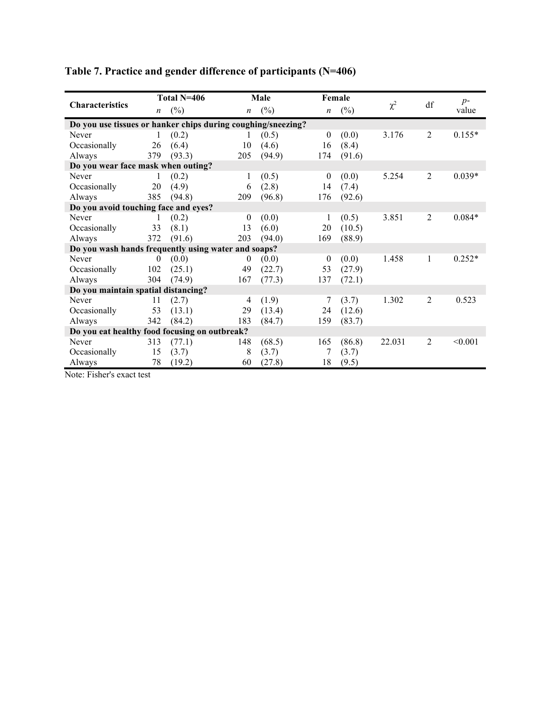|                                                              |                  | Total N=406 |                  | Male   |                  | Female |          | df             | $p-$     |
|--------------------------------------------------------------|------------------|-------------|------------------|--------|------------------|--------|----------|----------------|----------|
| <b>Characteristics</b>                                       | $\boldsymbol{n}$ | (%)         | $\boldsymbol{n}$ | (%)    | $\boldsymbol{n}$ | $(\%)$ | $\chi^2$ |                | value    |
| Do you use tissues or hanker chips during coughing/sneezing? |                  |             |                  |        |                  |        |          |                |          |
| Never                                                        |                  | (0.2)       | 1                | (0.5)  | $\mathbf{0}$     | (0.0)  | 3.176    | $\overline{2}$ | $0.155*$ |
| Occasionally                                                 | 26               | (6.4)       | 10               | (4.6)  | 16               | (8.4)  |          |                |          |
| Always                                                       | 379              | (93.3)      | 205              | (94.9) | 174              | (91.6) |          |                |          |
| Do you wear face mask when outing?                           |                  |             |                  |        |                  |        |          |                |          |
| Never                                                        |                  | (0.2)       | 1                | (0.5)  | $\mathbf{0}$     | (0.0)  | 5.254    | 2              | $0.039*$ |
| Occasionally                                                 | 20               | (4.9)       | 6                | (2.8)  | 14               | (7.4)  |          |                |          |
| Always                                                       | 385              | (94.8)      | 209              | (96.8) | 176              | (92.6) |          |                |          |
| Do you avoid touching face and eyes?                         |                  |             |                  |        |                  |        |          |                |          |
| Never                                                        |                  | (0.2)       | $\mathbf{0}$     | (0.0)  |                  | (0.5)  | 3.851    | 2              | $0.084*$ |
| Occasionally                                                 | 33               | (8.1)       | 13               | (6.0)  | 20               | (10.5) |          |                |          |
| Always                                                       | 372              | (91.6)      | 203              | (94.0) | 169              | (88.9) |          |                |          |
| Do you wash hands frequently using water and soaps?          |                  |             |                  |        |                  |        |          |                |          |
| Never                                                        | $\theta$         | (0.0)       | $\theta$         | (0.0)  | $\overline{0}$   | (0.0)  | 1.458    | 1              | $0.252*$ |
| Occasionally                                                 | 102              | (25.1)      | 49               | (22.7) | 53               | (27.9) |          |                |          |
| Always                                                       | 304              | (74.9)      | 167              | (77.3) | 137              | (72.1) |          |                |          |
| Do you maintain spatial distancing?                          |                  |             |                  |        |                  |        |          |                |          |
| Never                                                        | 11               | (2.7)       | 4                | (1.9)  | 7                | (3.7)  | 1.302    | $\overline{2}$ | 0.523    |
| Occasionally                                                 | 53               | (13.1)      | 29               | (13.4) | 24               | (12.6) |          |                |          |
| Always                                                       | 342              | (84.2)      | 183              | (84.7) | 159              | (83.7) |          |                |          |
| Do you eat healthy food focusing on outbreak?                |                  |             |                  |        |                  |        |          |                |          |
| Never                                                        | 313              | (77.1)      | 148              | (68.5) | 165              | (86.8) | 22.031   | 2              | < 0.001  |
| Occasionally                                                 | 15               | (3.7)       | 8                | (3.7)  |                  | (3.7)  |          |                |          |
| Always                                                       | 78               | (19.2)      | 60               | (27.8) | 18               | (9.5)  |          |                |          |

# **Table 7. Practice and gender difference of participants (N=406)**

Note: Fisher's exact test